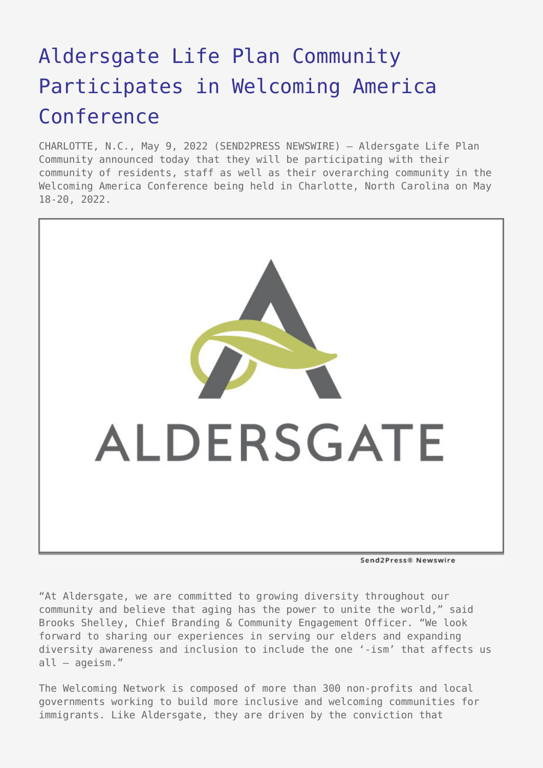## [Aldersgate Life Plan Community](https://www.send2press.com/wire/aldersgate-life-plan-community-participates-in-welcoming-america-conference/) [Participates in Welcoming America](https://www.send2press.com/wire/aldersgate-life-plan-community-participates-in-welcoming-america-conference/) [Conference](https://www.send2press.com/wire/aldersgate-life-plan-community-participates-in-welcoming-america-conference/)

CHARLOTTE, N.C., May 9, 2022 (SEND2PRESS NEWSWIRE) — Aldersgate Life Plan Community announced today that they will be participating with their community of residents, staff as well as their overarching community in the Welcoming America Conference being held in Charlotte, North Carolina on May 18-20, 2022.



Send2Press® Newswire

"At Aldersgate, we are committed to growing diversity throughout our community and believe that aging has the power to unite the world," said Brooks Shelley, Chief Branding & Community Engagement Officer. "We look forward to sharing our experiences in serving our elders and expanding diversity awareness and inclusion to include the one '-ism' that affects us all – ageism."

The Welcoming Network is composed of more than 300 non-profits and local governments working to build more inclusive and welcoming communities for immigrants. Like Aldersgate, they are driven by the conviction that